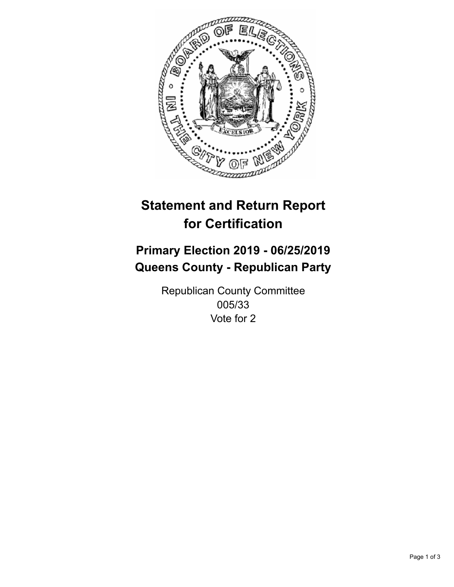

## **Statement and Return Report for Certification**

## **Primary Election 2019 - 06/25/2019 Queens County - Republican Party**

Republican County Committee 005/33 Vote for 2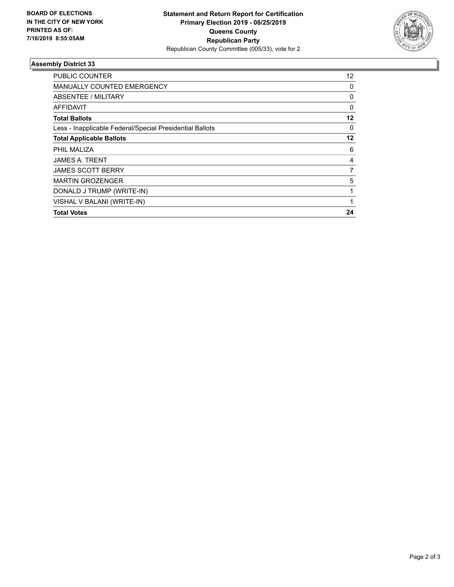

## **Assembly District 33**

| <b>PUBLIC COUNTER</b>                                    | 12       |
|----------------------------------------------------------|----------|
| MANUALLY COUNTED EMERGENCY                               | 0        |
| ABSENTEE / MILITARY                                      | 0        |
| AFFIDAVIT                                                | 0        |
| <b>Total Ballots</b>                                     | 12       |
| Less - Inapplicable Federal/Special Presidential Ballots | $\Omega$ |
| <b>Total Applicable Ballots</b>                          | 12       |
| PHIL MALIZA                                              | 6        |
| <b>JAMES A. TRENT</b>                                    | 4        |
| <b>JAMES SCOTT BERRY</b>                                 | 7        |
| <b>MARTIN GROZENGER</b>                                  | 5        |
| DONALD J TRUMP (WRITE-IN)                                | 1        |
| VISHAL V BALANI (WRITE-IN)                               | 1        |
| <b>Total Votes</b>                                       | 24       |